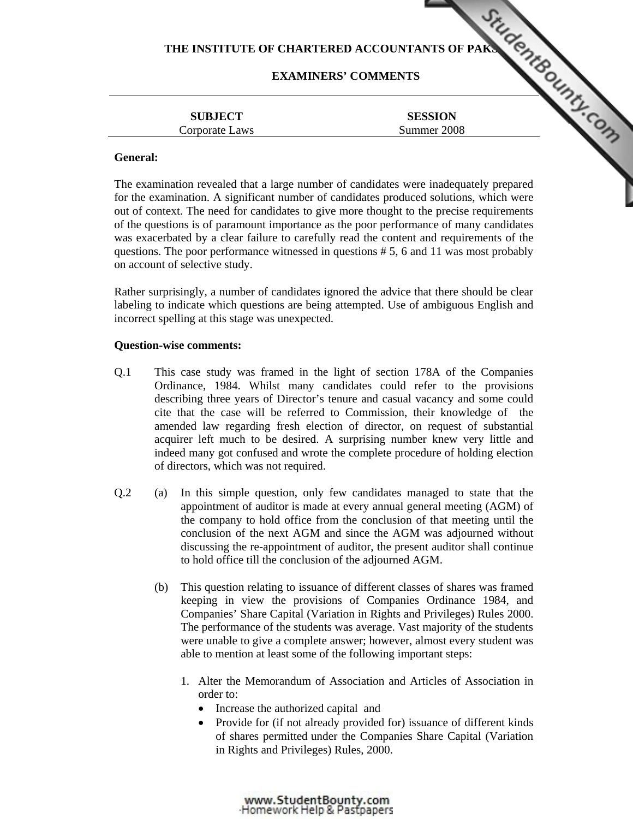# **EXAMINERS' COMMENTS**

|                                  | THE INSTITUTE OF CHARTERED ACCOUNTANTS OF PAK.<br><b>EXAMINERS' COMMENTS</b> |  |
|----------------------------------|------------------------------------------------------------------------------|--|
| <b>SUBJECT</b><br>Corporate Laws | <b>SESSION</b><br>Summer 2008                                                |  |
| General:                         |                                                                              |  |

## **General:**

The examination revealed that a large number of candidates were inadequately prepared for the examination. A significant number of candidates produce[d solutions, which were](http://www.studentbounty.com/)  out of context. The need for candidates to give more thought to the precise requirements of the questions is of paramount importance as the poor performance of many candidates was exacerbated by a clear failure to carefully read the content and requirements of the questions. The poor performance witnessed in questions # 5, 6 and 11 was most probably on account of selective study.

Rather surprisingly, a number of candidates ignored the advice that there should be clear labeling to indicate which questions are being attempted. Use of ambiguous English and incorrect spelling at this stage was unexpected.

### **Question-wise comments:**

- Q.1 This case study was framed in the light of section 178A of the Companies Ordinance, 1984. Whilst many candidates could refer to the provisions describing three years of Director's tenure and casual vacancy and some could cite that the case will be referred to Commission, their knowledge of the amended law regarding fresh election of director, on request of substantial acquirer left much to be desired. A surprising number knew very little and indeed many got confused and wrote the complete procedure of holding election of directors, which was not required.
- Q.2 (a) In this simple question, only few candidates managed to state that the appointment of auditor is made at every annual general meeting (AGM) of the company to hold office from the conclusion of that meeting until the conclusion of the next AGM and since the AGM was adjourned without discussing the re-appointment of auditor, the present auditor shall continue to hold office till the conclusion of the adjourned AGM.
	- (b) This question relating to issuance of different classes of shares was framed keeping in view the provisions of Companies Ordinance 1984, and Companies' Share Capital (Variation in Rights and Privileges) Rules 2000. The performance of the students was average. Vast majority of the students were unable to give a complete answer; however, almost every student was able to mention at least some of the following important steps:
		- 1. Alter the Memorandum of Association and Articles of Association in order to:
			- Increase the authorized capital and
			- Provide for (if not already provided for) issuance of different kinds of shares permitted under the Companies Share Capital (Variation in Rights and Privileges) Rules, 2000.

www.StudentBounty.com Homework Help & Pastoapers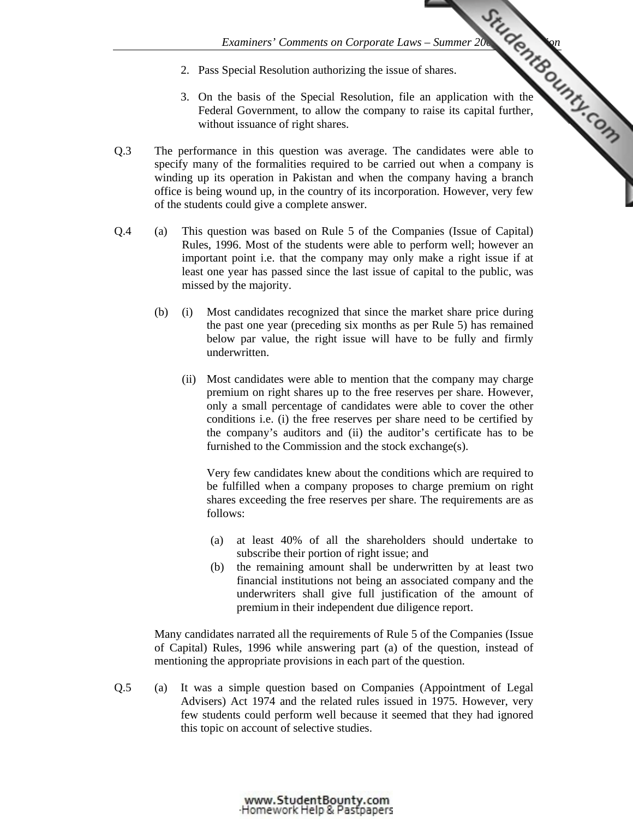- 2. Pass Special Resolution authorizing the issue of shares.
- *Examiners' Comments on Corporate Laws Summer 2008 Examiners'* Comments on Corporate Laws Summer 2008 Examine is the community of the community of the community of the community of the community of the community of the 3. On the basis of the Special Resolution, file an application with the Federal Government, to allow the company to raise its capital further, without issuance of right shares.
- Q.3 The performance in this question was average. The candidates were able to specify many of the formalities required to be carried out when a company is winding up its operation in Pakistan and when the company having a branch office is being wound up, in the country of its incorporation. However, very few of the students could give a complete answer.
- Q.4 (a) This question was based on Rule 5 of the Companies (Issue of Capital) Rules, 1996. Most of the students were able to perform well; however an important point i.e. that the company may only make a right issue if at least one year has passed since the last issue of capital to the public, was missed by the majority.
	- (b) (i) Most candidates recognized that since the market share price during the past one year (preceding six months as per Rule 5) has remained below par value, the right issue will have to be fully and firmly underwritten.
		- (ii) Most candidates were able to mention that the company may charge premium on right shares up to the free reserves per share. However, only a small percentage of candidates were able to cover the other conditions i.e. (i) the free reserves per share need to be certified by the company's auditors and (ii) the auditor's certificate has to be furnished to the Commission and the stock exchange(s).

Very few candidates knew about the conditions which are required to be fulfilled when a company proposes to charge premium on right shares exceeding the free reserves per share. The requirements are as follows:

- (a) at least 40% of all the shareholders should undertake to subscribe their portion of right issue; and
- (b) the remaining amount shall be underwritten by at least two financial institutions not being an associated company and the underwriters shall give full justification of the amount of premium in their independent due diligence report.

 Many candidates narrated all the requirements of Rule 5 of the Companies (Issue of Capital) Rules, 1996 while answering part (a) of the question, instead of mentioning the appropriate provisions in each part of the question.

Q.5 (a) It was a simple question based on Companies (Appointment of Legal Advisers) Act 1974 and the related rules issued in 1975. However, very few students could perform well because it seemed that they had ignored this topic on account of selective studies.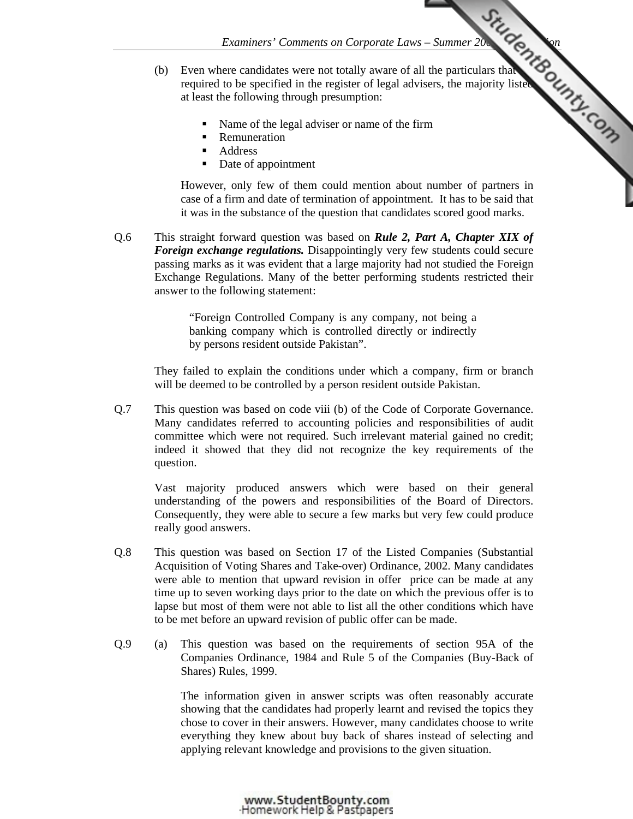- *Examiners' Comments on Corporate Laws Summer 2008 Examiners'* Comments on Corporate Laws Summer 2008 Examines that we distribute the majority listed of the majority listed Capacity of the majority listed Capacity of t (b) Even where candidates were not totally aware of all the particulars that required to be specified in the register of legal advisers, the majority listed at least the following through presumption:
	- Name of the legal adviser or name of the firm
	- **Remuneration**
	- **Address**
	- Date of appointment

However, only few of them could mention about number of partners in case of a firm and date of termination of appointment. It has to be said that it was in the substance of the question that candidates scored good marks.

Q.6 This straight forward question was based on *Rule 2, Part A, Chapter XIX of Foreign exchange regulations.* Disappointingly very few students could secure passing marks as it was evident that a large majority had not studied the Foreign Exchange Regulations. Many of the better performing students restricted their answer to the following statement:

> "Foreign Controlled Company is any company, not being a banking company which is controlled directly or indirectly by persons resident outside Pakistan".

They failed to explain the conditions under which a company, firm or branch will be deemed to be controlled by a person resident outside Pakistan.

Q.7 This question was based on code viii (b) of the Code of Corporate Governance. Many candidates referred to accounting policies and responsibilities of audit committee which were not required. Such irrelevant material gained no credit; indeed it showed that they did not recognize the key requirements of the question.

 Vast majority produced answers which were based on their general understanding of the powers and responsibilities of the Board of Directors. Consequently, they were able to secure a few marks but very few could produce really good answers.

- Q.8 This question was based on Section 17 of the Listed Companies (Substantial Acquisition of Voting Shares and Take-over) Ordinance, 2002. Many candidates were able to mention that upward revision in offer price can be made at any time up to seven working days prior to the date on which the previous offer is to lapse but most of them were not able to list all the other conditions which have to be met before an upward revision of public offer can be made.
- Q.9 (a) This question was based on the requirements of section 95A of the Companies Ordinance, 1984 and Rule 5 of the Companies (Buy-Back of Shares) Rules, 1999.

The information given in answer scripts was often reasonably accurate showing that the candidates had properly learnt and revised the topics they chose to cover in their answers. However, many candidates choose to write everything they knew about buy back of shares instead of selecting and applying relevant knowledge and provisions to the given situation.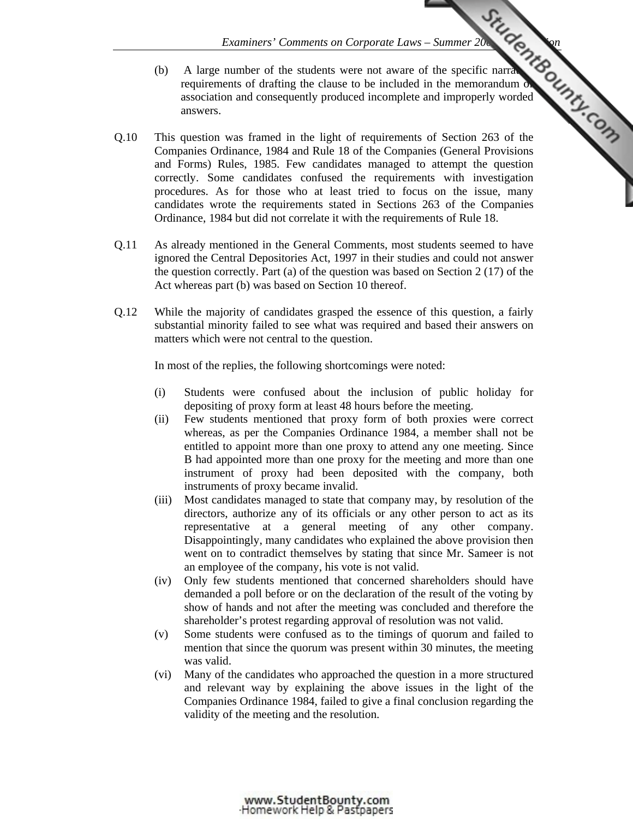- *Examiners' Comments on Corporate Laws Summer 2008 Examiners'* Comments were not aware of the specific narral complete and improperly worded and improperly worded the the (b) A large number of the students were not aware of the specific narratively requirements of drafting the clause to be included in the memorandum of association and consequently produced incomplete and improperly worded answers.
- Q.10 This question was framed in the light of requirements of Section 263 of the Companies Ordinance, 1984 and Rule 18 of the Companies (General Provisions and Forms) Rules, 1985. Few candidates managed to attempt the question correctly. Some candidates confused the requirements with investigation procedures. As for those who at least tried to focus on the issue, many candidates wrote the requirements stated in Sections 263 of the Companies Ordinance, 1984 but did not correlate it with the requirements of Rule 18.
- Q.11 As already mentioned in the General Comments, most students seemed to have ignored the Central Depositories Act, 1997 in their studies and could not answer the question correctly. Part (a) of the question was based on Section 2 (17) of the Act whereas part (b) was based on Section 10 thereof.
- Q.12 While the majority of candidates grasped the essence of this question, a fairly substantial minority failed to see what was required and based their answers on matters which were not central to the question.

In most of the replies, the following shortcomings were noted:

- (i) Students were confused about the inclusion of public holiday for depositing of proxy form at least 48 hours before the meeting.
- (ii) Few students mentioned that proxy form of both proxies were correct whereas, as per the Companies Ordinance 1984, a member shall not be entitled to appoint more than one proxy to attend any one meeting. Since B had appointed more than one proxy for the meeting and more than one instrument of proxy had been deposited with the company, both instruments of proxy became invalid.
- (iii) Most candidates managed to state that company may, by resolution of the directors, authorize any of its officials or any other person to act as its representative at a general meeting of any other company. Disappointingly, many candidates who explained the above provision then went on to contradict themselves by stating that since Mr. Sameer is not an employee of the company, his vote is not valid.
- (iv) Only few students mentioned that concerned shareholders should have demanded a poll before or on the declaration of the result of the voting by show of hands and not after the meeting was concluded and therefore the shareholder's protest regarding approval of resolution was not valid.
- (v) Some students were confused as to the timings of quorum and failed to mention that since the quorum was present within 30 minutes, the meeting was valid.
- (vi) Many of the candidates who approached the question in a more structured and relevant way by explaining the above issues in the light of the Companies Ordinance 1984, failed to give a final conclusion regarding the validity of the meeting and the resolution.